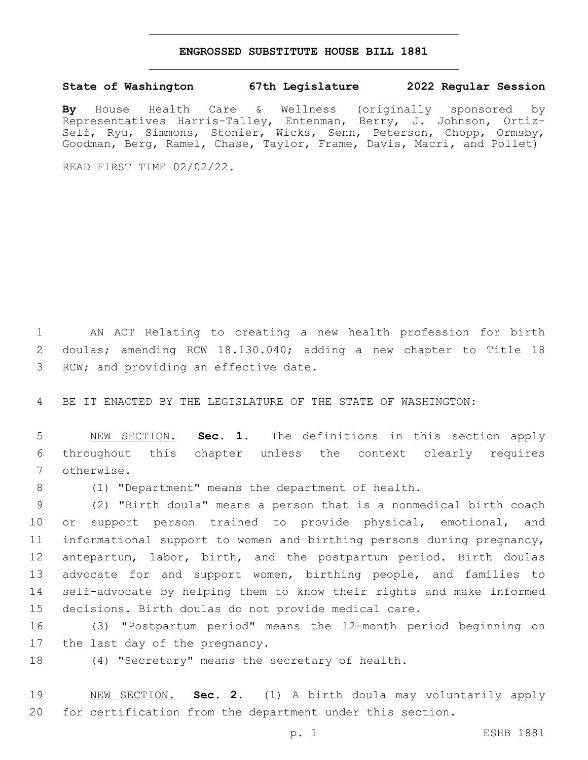## **ENGROSSED SUBSTITUTE HOUSE BILL 1881**

## **State of Washington 67th Legislature 2022 Regular Session**

**By** House Health Care & Wellness (originally sponsored by Representatives Harris-Talley, Entenman, Berry, J. Johnson, Ortiz-Self, Ryu, Simmons, Stonier, Wicks, Senn, Peterson, Chopp, Ormsby, Goodman, Berg, Ramel, Chase, Taylor, Frame, Davis, Macri, and Pollet)

READ FIRST TIME 02/02/22.

 AN ACT Relating to creating a new health profession for birth doulas; amending RCW 18.130.040; adding a new chapter to Title 18 3 RCW; and providing an effective date.

BE IT ENACTED BY THE LEGISLATURE OF THE STATE OF WASHINGTON:

 NEW SECTION. **Sec. 1.** The definitions in this section apply throughout this chapter unless the context clearly requires otherwise.

(1) "Department" means the department of health.

 (2) "Birth doula" means a person that is a nonmedical birth coach or support person trained to provide physical, emotional, and informational support to women and birthing persons during pregnancy, antepartum, labor, birth, and the postpartum period. Birth doulas 13 advocate for and support women, birthing people, and families to self-advocate by helping them to know their rights and make informed decisions. Birth doulas do not provide medical care.

 (3) "Postpartum period" means the 12-month period beginning on 17 the last day of the pregnancy.

(4) "Secretary" means the secretary of health.

 NEW SECTION. **Sec. 2.** (1) A birth doula may voluntarily apply for certification from the department under this section.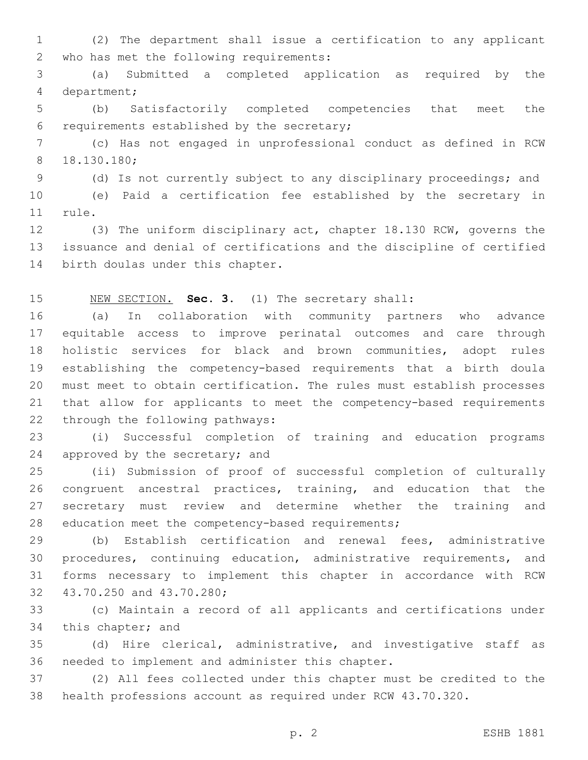(2) The department shall issue a certification to any applicant 2 who has met the following requirements:

 (a) Submitted a completed application as required by the 4 department;

 (b) Satisfactorily completed competencies that meet the 6 requirements established by the secretary;

 (c) Has not engaged in unprofessional conduct as defined in RCW 18.130.180;8

(d) Is not currently subject to any disciplinary proceedings; and

 (e) Paid a certification fee established by the secretary in 11 rule.

 (3) The uniform disciplinary act, chapter 18.130 RCW, governs the issuance and denial of certifications and the discipline of certified 14 birth doulas under this chapter.

NEW SECTION. **Sec. 3.** (1) The secretary shall:

 (a) In collaboration with community partners who advance equitable access to improve perinatal outcomes and care through holistic services for black and brown communities, adopt rules establishing the competency-based requirements that a birth doula must meet to obtain certification. The rules must establish processes that allow for applicants to meet the competency-based requirements 22 through the following pathways:

 (i) Successful completion of training and education programs 24 approved by the secretary; and

 (ii) Submission of proof of successful completion of culturally congruent ancestral practices, training, and education that the secretary must review and determine whether the training and 28 education meet the competency-based requirements;

 (b) Establish certification and renewal fees, administrative procedures, continuing education, administrative requirements, and forms necessary to implement this chapter in accordance with RCW 32 43.70.250 and 43.70.280;

 (c) Maintain a record of all applicants and certifications under 34 this chapter; and

 (d) Hire clerical, administrative, and investigative staff as 36 needed to implement and administer this chapter.

 (2) All fees collected under this chapter must be credited to the health professions account as required under RCW 43.70.320.

p. 2 ESHB 1881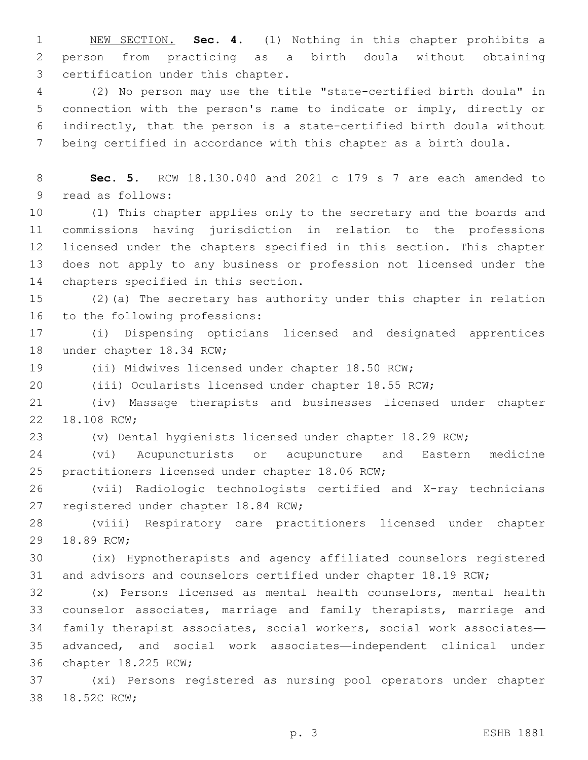NEW SECTION. **Sec. 4.** (1) Nothing in this chapter prohibits a person from practicing as a birth doula without obtaining certification under this chapter.

 (2) No person may use the title "state-certified birth doula" in connection with the person's name to indicate or imply, directly or indirectly, that the person is a state-certified birth doula without being certified in accordance with this chapter as a birth doula.

 **Sec. 5.** RCW 18.130.040 and 2021 c 179 s 7 are each amended to 9 read as follows:

 (1) This chapter applies only to the secretary and the boards and commissions having jurisdiction in relation to the professions licensed under the chapters specified in this section. This chapter does not apply to any business or profession not licensed under the 14 chapters specified in this section.

 (2)(a) The secretary has authority under this chapter in relation 16 to the following professions:

 (i) Dispensing opticians licensed and designated apprentices 18 under chapter 18.34 RCW;

(ii) Midwives licensed under chapter 18.50 RCW;

(iii) Ocularists licensed under chapter 18.55 RCW;

 (iv) Massage therapists and businesses licensed under chapter 22 18.108 RCW;

(v) Dental hygienists licensed under chapter 18.29 RCW;

 (vi) Acupuncturists or acupuncture and Eastern medicine 25 practitioners licensed under chapter 18.06 RCW;

 (vii) Radiologic technologists certified and X-ray technicians 27 registered under chapter 18.84 RCW;

 (viii) Respiratory care practitioners licensed under chapter 29 18.89 RCW;

 (ix) Hypnotherapists and agency affiliated counselors registered and advisors and counselors certified under chapter 18.19 RCW;

 (x) Persons licensed as mental health counselors, mental health counselor associates, marriage and family therapists, marriage and family therapist associates, social workers, social work associates— advanced, and social work associates—independent clinical under 36 chapter 18.225 RCW;

 (xi) Persons registered as nursing pool operators under chapter 38 18.52C RCW;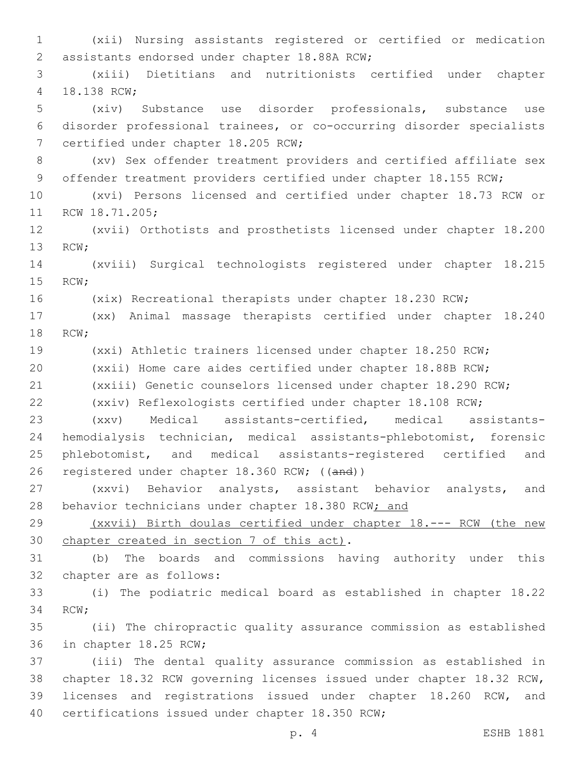(xii) Nursing assistants registered or certified or medication 2 assistants endorsed under chapter 18.88A RCW; (xiii) Dietitians and nutritionists certified under chapter 4 18.138 RCW; (xiv) Substance use disorder professionals, substance use disorder professional trainees, or co-occurring disorder specialists 7 certified under chapter 18.205 RCW; (xv) Sex offender treatment providers and certified affiliate sex 9 offender treatment providers certified under chapter 18.155 RCW; (xvi) Persons licensed and certified under chapter 18.73 RCW or 11 RCW 18.71.205; (xvii) Orthotists and prosthetists licensed under chapter 18.200 13 RCW; (xviii) Surgical technologists registered under chapter 18.215 15 RCW; (xix) Recreational therapists under chapter 18.230 RCW; (xx) Animal massage therapists certified under chapter 18.240 18 RCW; (xxi) Athletic trainers licensed under chapter 18.250 RCW; (xxii) Home care aides certified under chapter 18.88B RCW; (xxiii) Genetic counselors licensed under chapter 18.290 RCW; (xxiv) Reflexologists certified under chapter 18.108 RCW; (xxv) Medical assistants-certified, medical assistants- hemodialysis technician, medical assistants-phlebotomist, forensic phlebotomist, and medical assistants-registered certified and registered under chapter 18.360 RCW; ((and)) (xxvi) Behavior analysts, assistant behavior analysts, and 28 behavior technicians under chapter 18.380 RCW; and (xxvii) Birth doulas certified under chapter 18.--- RCW (the new 30 chapter created in section 7 of this act). (b) The boards and commissions having authority under this 32 chapter are as follows: (i) The podiatric medical board as established in chapter 18.22 34 RCW; (ii) The chiropractic quality assurance commission as established 36 in chapter 18.25 RCW; (iii) The dental quality assurance commission as established in chapter 18.32 RCW governing licenses issued under chapter 18.32 RCW, licenses and registrations issued under chapter 18.260 RCW, and 40 certifications issued under chapter 18.350 RCW;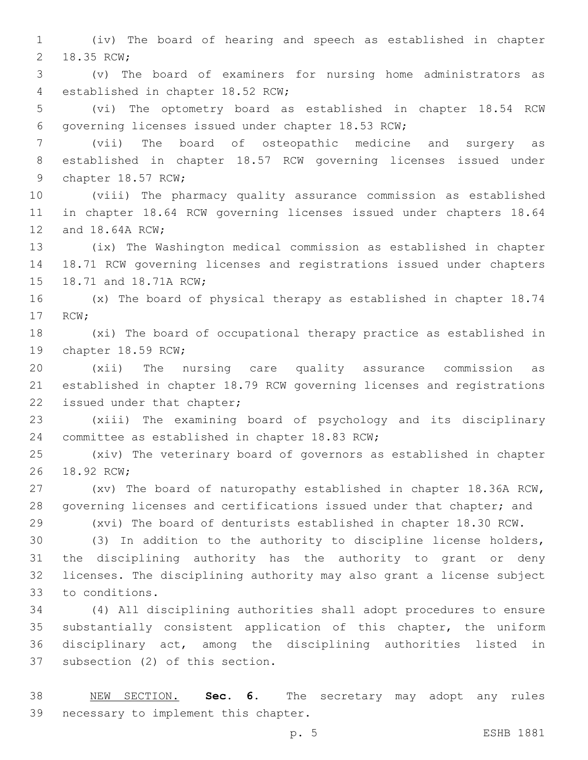(iv) The board of hearing and speech as established in chapter 2 18.35 RCW;

 (v) The board of examiners for nursing home administrators as 4 established in chapter 18.52 RCW;

 (vi) The optometry board as established in chapter 18.54 RCW 6 governing licenses issued under chapter 18.53 RCW;

 (vii) The board of osteopathic medicine and surgery as established in chapter 18.57 RCW governing licenses issued under 9 chapter 18.57 RCW;

 (viii) The pharmacy quality assurance commission as established in chapter 18.64 RCW governing licenses issued under chapters 18.64 12 and 18.64A RCW;

 (ix) The Washington medical commission as established in chapter 18.71 RCW governing licenses and registrations issued under chapters 15 18.71 and 18.71A RCW;

 (x) The board of physical therapy as established in chapter 18.74 17 RCW;

 (xi) The board of occupational therapy practice as established in 19 chapter 18.59 RCW;

 (xii) The nursing care quality assurance commission as established in chapter 18.79 RCW governing licenses and registrations 22 issued under that chapter;

 (xiii) The examining board of psychology and its disciplinary 24 committee as established in chapter 18.83 RCW;

 (xiv) The veterinary board of governors as established in chapter 26 18.92 RCW:

 (xv) The board of naturopathy established in chapter 18.36A RCW, governing licenses and certifications issued under that chapter; and

 (xvi) The board of denturists established in chapter 18.30 RCW. (3) In addition to the authority to discipline license holders,

 the disciplining authority has the authority to grant or deny licenses. The disciplining authority may also grant a license subject 33 to conditions.

 (4) All disciplining authorities shall adopt procedures to ensure substantially consistent application of this chapter, the uniform disciplinary act, among the disciplining authorities listed in 37 subsection (2) of this section.

 NEW SECTION. **Sec. 6.** The secretary may adopt any rules necessary to implement this chapter.